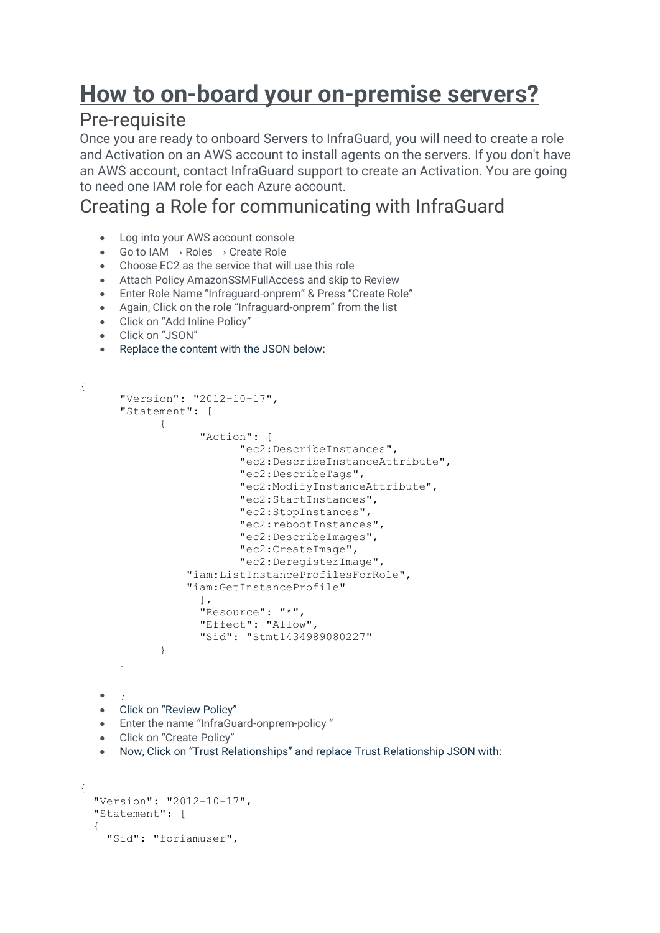# **How to on-board your on-premise servers?**

#### Pre-requisite

Once you are ready to onboard Servers to InfraGuard, you will need to create a role and Activation on an AWS account to install agents on the servers. If you don't have an AWS account, contact InfraGuard support to create an Activation. You are going to need one IAM role for each Azure account.

## Creating a Role for communicating with InfraGuard

- Log into your AWS account console
- Go to IAM  $\rightarrow$  Roles  $\rightarrow$  Create Role
- Choose EC2 as the service that will use this role
- Attach Policy AmazonSSMFullAccess and skip to Review
- Enter Role Name "Infraguard-onprem" & Press "Create Role"
- Again, Click on the role "Infraguard-onprem" from the list
- Click on "Add Inline Policy"
- Click on "JSON"

{

• Replace the content with the JSON below:

```
"Version": "2012-10-17",
   "Statement": [
          {
                 "Action": [
                       "ec2:DescribeInstances",
                       "ec2:DescribeInstanceAttribute",
                       "ec2:DescribeTags",
                       "ec2:ModifyInstanceAttribute",
                       "ec2:StartInstances",
                       "ec2:StopInstances",
                       "ec2:rebootInstances",
                       "ec2:DescribeImages",
                       "ec2:CreateImage",
                       "ec2:DeregisterImage",
               "iam:ListInstanceProfilesForRole",
               "iam:GetInstanceProfile"
                \frac{1}{2}"Resource": "*",
                "Effect": "Allow",
                 "Sid": "Stmt1434989080227"
          }
   ]
\bullet• Click on "Review Policy"
• Enter the name "InfraGuard-onprem-policy "
• Click on "Create Policy"
• Now, Click on "Trust Relationships" and replace Trust Relationship JSON with:
```

```
{
  "Version": "2012-10-17",
  "Statement": [
   {
    "Sid": "foriamuser",
```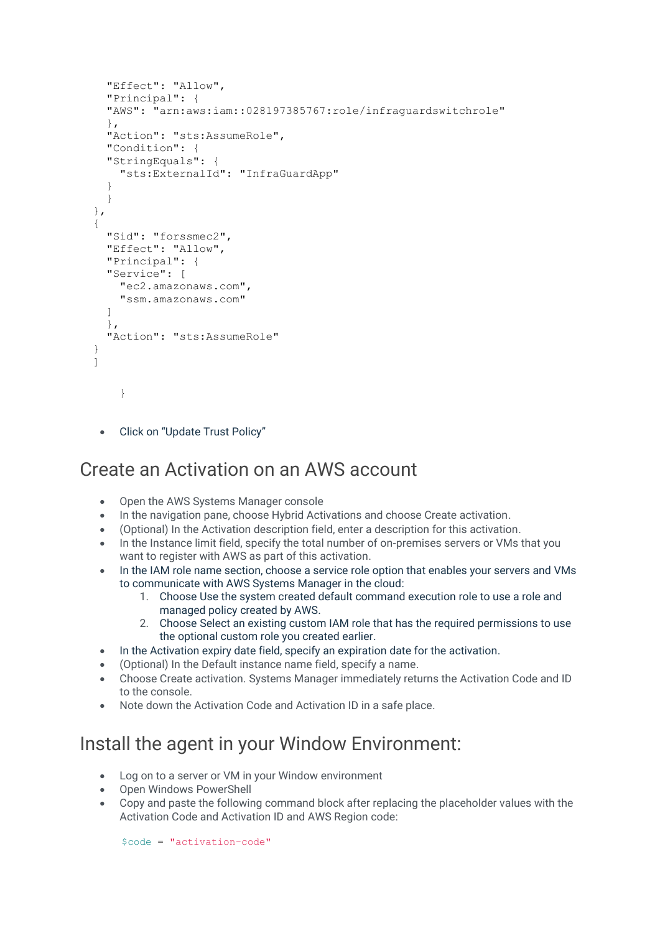```
 "Effect": "Allow",
   "Principal": {
   "AWS": "arn:aws:iam::028197385767:role/infraguardswitchrole"
   },
   "Action": "sts:AssumeRole",
   "Condition": {
   "StringEquals": {
     "sts:ExternalId": "InfraGuardApp"
   }
   }
 },
 {
   "Sid": "forssmec2",
   "Effect": "Allow",
   "Principal": {
   "Service": [
     "ec2.amazonaws.com",
     "ssm.amazonaws.com"
   ]
   },
   "Action": "sts:AssumeRole"
 }
 ]
    }
```
• Click on "Update Trust Policy"

#### Create an Activation on an AWS account

- Open the AWS Systems Manager console
- In the navigation pane, choose Hybrid Activations and choose Create activation.
- (Optional) In the Activation description field, enter a description for this activation.
- In the Instance limit field, specify the total number of on-premises servers or VMs that you want to register with AWS as part of this activation.
- In the IAM role name section, choose a service role option that enables your servers and VMs to communicate with AWS Systems Manager in the cloud:
	- 1. Choose Use the system created default command execution role to use a role and managed policy created by AWS.
	- 2. Choose Select an existing custom IAM role that has the required permissions to use the optional custom role you created earlier.
- In the Activation expiry date field, specify an expiration date for the activation.
- (Optional) In the Default instance name field, specify a name.
- Choose Create activation. Systems Manager immediately returns the Activation Code and ID to the console.
- Note down the Activation Code and Activation ID in a safe place.

### Install the agent in your Window Environment:

- Log on to a server or VM in your Window environment
- Open Windows PowerShell
- Copy and paste the following command block after replacing the placeholder values with the Activation Code and Activation ID and AWS Region code:

\$code = "activation-code"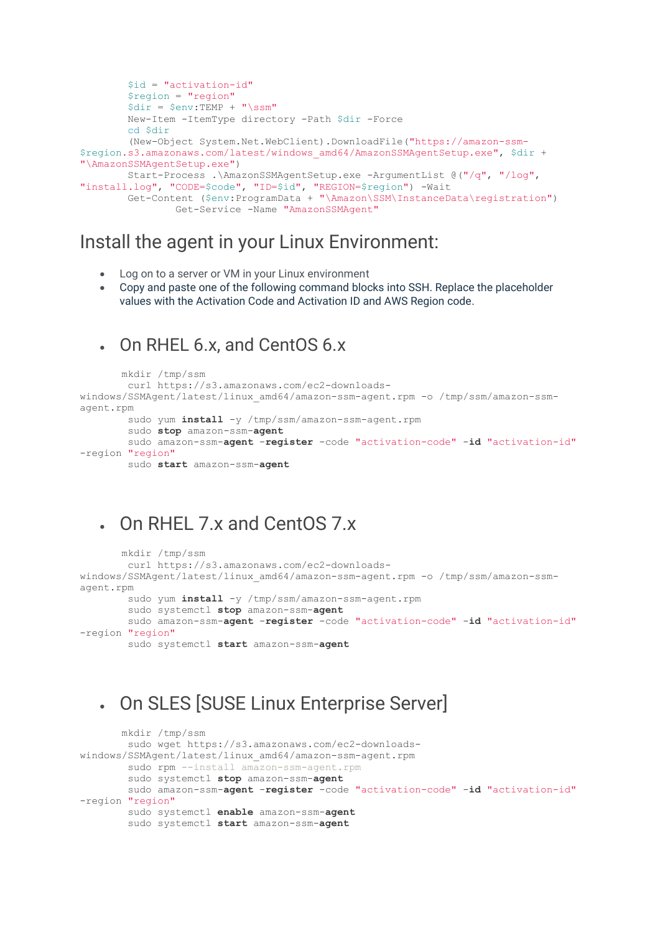```
 $id = "activation-id"
         $region = "region"
        \daggerdir = \frac{5}{2}env:TEMP + "\ssm"
         New-Item -ItemType directory -Path $dir -Force
         cd $dir
         (New-Object System.Net.WebClient).DownloadFile("https://amazon-ssm-
$region.s3.amazonaws.com/latest/windows_amd64/AmazonSSMAgentSetup.exe", $dir +
"\AmazonSSMAgentSetup.exe")
         Start-Process .\AmazonSSMAgentSetup.exe -ArgumentList @("/q", "/log",
"install.log", "CODE=$code", "ID=$id", "REGION=$region") -Wait
         Get-Content ($env:ProgramData + "\Amazon\SSM\InstanceData\registration")
                 Get-Service -Name "AmazonSSMAgent"
```
#### Install the agent in your Linux Environment:

- Log on to a server or VM in your Linux environment
- Copy and paste one of the following command blocks into SSH. Replace the placeholder values with the Activation Code and Activation ID and AWS Region code.

#### • On RHEL 6.x, and CentOS 6.x

```
 mkdir /tmp/ssm
         curl https://s3.amazonaws.com/ec2-downloads-
windows/SSMAgent/latest/linux_amd64/amazon-ssm-agent.rpm -o /tmp/ssm/amazon-ssm-
agent.rpm
        sudo yum install -y /tmp/ssm/amazon-ssm-agent.rpm
         sudo stop amazon-ssm-agent
         sudo amazon-ssm-agent -register -code "activation-code" -id "activation-id"
-region "region"
         sudo start amazon-ssm-agent
```
#### • On RHEL 7.x and CentOS 7.x

```
 mkdir /tmp/ssm
         curl https://s3.amazonaws.com/ec2-downloads-
windows/SSMAgent/latest/linux amd64/amazon-ssm-agent.rpm -o /tmp/ssm/amazon-ssm-
agent.rpm
        sudo yum install -y /tmp/ssm/amazon-ssm-agent.rpm sudo systemctl stop amazon-ssm-agent
         sudo amazon-ssm-agent -register -code "activation-code" -id "activation-id"
-region "region"
        sudo systemctl start amazon-ssm-agent
```
### • On SLES [SUSE Linux Enterprise Server]

```
 mkdir /tmp/ssm
         sudo wget https://s3.amazonaws.com/ec2-downloads-
windows/SSMAgent/latest/linux_amd64/amazon-ssm-agent.rpm
         sudo rpm --install amazon-ssm-agent.rpm
         sudo systemctl stop amazon-ssm-agent
         sudo amazon-ssm-agent -register -code "activation-code" -id "activation-id"
-region "region"
         sudo systemctl enable amazon-ssm-agent
         sudo systemctl start amazon-ssm-agent
```